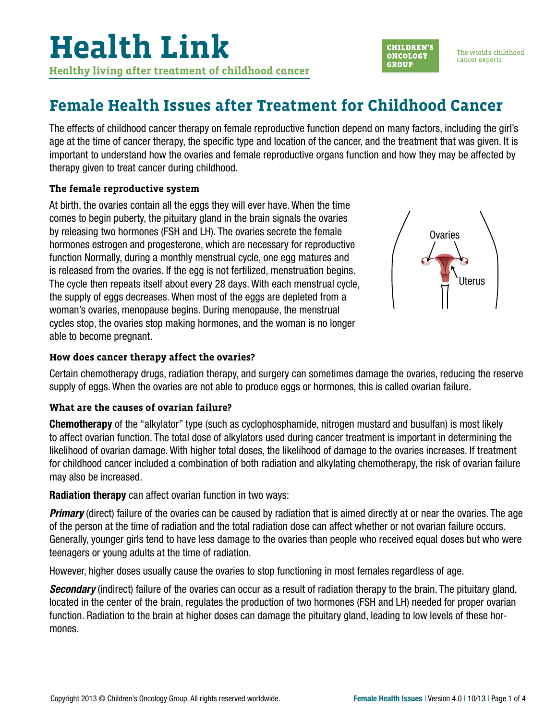## **Female Health Issues after Treatment for Childhood Cancer**

The effects of childhood cancer therapy on female reproductive function depend on many factors, including the girl's age at the time of cancer therapy, the specific type and location of the cancer, and the treatment that was given. It is important to understand how the ovaries and female reproductive organs function and how they may be affected by therapy given to treat cancer during childhood.

#### **The female reproductive system**

At birth, the ovaries contain all the eggs they will ever have. When the time comes to begin puberty, the pituitary gland in the brain signals the ovaries by releasing two hormones (FSH and LH). The ovaries secrete the female hormones estrogen and progesterone, which are necessary for reproductive function Normally, during a monthly menstrual cycle, one egg matures and is released from the ovaries. If the egg is not fertilized, menstruation begins. The cycle then repeats itself about every 28 days. With each menstrual cycle, the supply of eggs decreases. When most of the eggs are depleted from a woman's ovaries, menopause begins. During menopause, the menstrual cycles stop, the ovaries stop making hormones, and the woman is no longer able to become pregnant.



**CHILDREN'S** 

**ONCOLOGY** 

**GROUP** 

The world's childhood

cancer experts

#### **How does cancer therapy affect the ovaries?**

Certain chemotherapy drugs, radiation therapy, and surgery can sometimes damage the ovaries, reducing the reserve supply of eggs. When the ovaries are not able to produce eggs or hormones, this is called ovarian failure.

#### **What are the causes of ovarian failure?**

Chemotherapy of the "alkylator" type (such as cyclophosphamide, nitrogen mustard and busulfan) is most likely to affect ovarian function. The total dose of alkylators used during cancer treatment is important in determining the likelihood of ovarian damage. With higher total doses, the likelihood of damage to the ovaries increases. If treatment for childhood cancer included a combination of both radiation and alkylating chemotherapy, the risk of ovarian failure may also be increased.

#### Radiation therapy can affect ovarian function in two ways:

*Primary* (direct) failure of the ovaries can be caused by radiation that is aimed directly at or near the ovaries. The age of the person at the time of radiation and the total radiation dose can affect whether or not ovarian failure occurs. Generally, younger girls tend to have less damage to the ovaries than people who received equal doses but who were teenagers or young adults at the time of radiation.

However, higher doses usually cause the ovaries to stop functioning in most females regardless of age.

*Secondary* (indirect) failure of the ovaries can occur as a result of radiation therapy to the brain. The pituitary gland, located in the center of the brain, regulates the production of two hormones (FSH and LH) needed for proper ovarian function. Radiation to the brain at higher doses can damage the pituitary gland, leading to low levels of these hormones.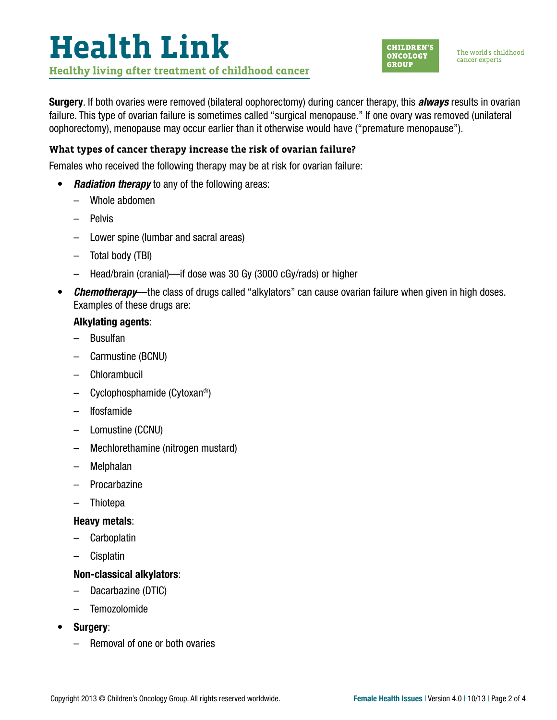# **Health Link Healthy living after treatment of childhood cancer**



The world's childhood cancer experts

Surgery. If both ovaries were removed (bilateral oophorectomy) during cancer therapy, this *always* results in ovarian failure. This type of ovarian failure is sometimes called "surgical menopause." If one ovary was removed (unilateral oophorectomy), menopause may occur earlier than it otherwise would have ("premature menopause").

### **What types of cancer therapy increase the risk of ovarian failure?**

Females who received the following therapy may be at risk for ovarian failure:

- *Radiation therapy* to any of the following areas:
	- Whole abdomen
	- Pelvis
	- Lower spine (lumbar and sacral areas)
	- Total body (TBI)
	- Head/brain (cranial)—if dose was 30 Gy (3000 cGy/rads) or higher
- *Chemotherapy*—the class of drugs called "alkylators" can cause ovarian failure when given in high doses. Examples of these drugs are:

#### Alkylating agents:

- Busulfan
- Carmustine (BCNU)
- Chlorambucil
- Cyclophosphamide (Cytoxan®)
- Ifosfamide
- Lomustine (CCNU)
- Mechlorethamine (nitrogen mustard)
- Melphalan
- Procarbazine
- **Thiotepa**

#### Heavy metals:

- Carboplatin
- Cisplatin

#### Non-classical alkylators:

- Dacarbazine (DTIC)
- Temozolomide
- Surgery:
	- Removal of one or both ovaries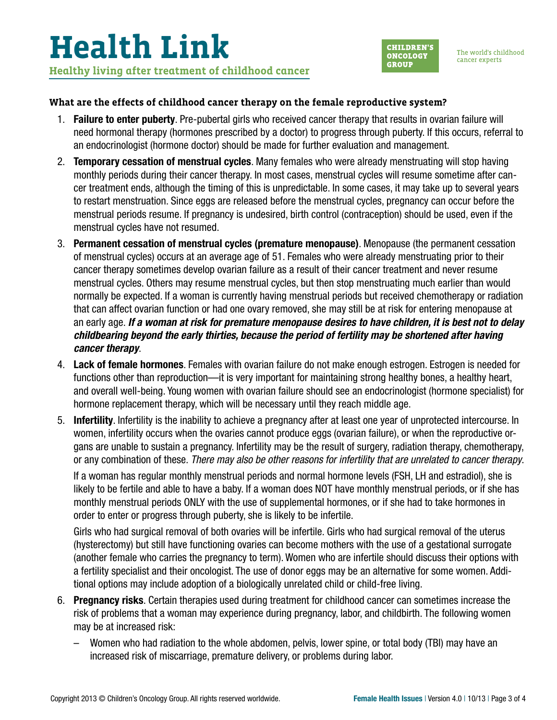

#### **What are the effects of childhood cancer therapy on the female reproductive system?**

- 1. Failure to enter puberty. Pre-pubertal girls who received cancer therapy that results in ovarian failure will need hormonal therapy (hormones prescribed by a doctor) to progress through puberty. If this occurs, referral to an endocrinologist (hormone doctor) should be made for further evaluation and management.
- 2. **Temporary cessation of menstrual cycles**. Many females who were already menstruating will stop having monthly periods during their cancer therapy. In most cases, menstrual cycles will resume sometime after cancer treatment ends, although the timing of this is unpredictable. In some cases, it may take up to several years to restart menstruation. Since eggs are released before the menstrual cycles, pregnancy can occur before the menstrual periods resume. If pregnancy is undesired, birth control (contraception) should be used, even if the menstrual cycles have not resumed.
- 3. Permanent cessation of menstrual cycles (premature menopause). Menopause (the permanent cessation of menstrual cycles) occurs at an average age of 51. Females who were already menstruating prior to their cancer therapy sometimes develop ovarian failure as a result of their cancer treatment and never resume menstrual cycles. Others may resume menstrual cycles, but then stop menstruating much earlier than would normally be expected. If a woman is currently having menstrual periods but received chemotherapy or radiation that can affect ovarian function or had one ovary removed, she may still be at risk for entering menopause at an early age. *If a woman at risk for premature menopause desires to have children, it is best not to delay childbearing beyond the early thirties, because the period of fertility may be shortened after having cancer therapy*.
- 4. Lack of female hormones. Females with ovarian failure do not make enough estrogen. Estrogen is needed for functions other than reproduction—it is very important for maintaining strong healthy bones, a healthy heart, and overall well-being. Young women with ovarian failure should see an endocrinologist (hormone specialist) for hormone replacement therapy, which will be necessary until they reach middle age.
- 5. Infertility. Infertility is the inability to achieve a pregnancy after at least one year of unprotected intercourse. In women, infertility occurs when the ovaries cannot produce eggs (ovarian failure), or when the reproductive organs are unable to sustain a pregnancy. Infertility may be the result of surgery, radiation therapy, chemotherapy, or any combination of these. *There may also be other reasons for infertility that are unrelated to cancer therapy*.

If a woman has regular monthly menstrual periods and normal hormone levels (FSH, LH and estradiol), she is likely to be fertile and able to have a baby. If a woman does NOT have monthly menstrual periods, or if she has monthly menstrual periods ONLY with the use of supplemental hormones, or if she had to take hormones in order to enter or progress through puberty, she is likely to be infertile.

Girls who had surgical removal of both ovaries will be infertile. Girls who had surgical removal of the uterus (hysterectomy) but still have functioning ovaries can become mothers with the use of a gestational surrogate (another female who carries the pregnancy to term). Women who are infertile should discuss their options with a fertility specialist and their oncologist. The use of donor eggs may be an alternative for some women. Additional options may include adoption of a biologically unrelated child or child-free living.

- 6. Pregnancy risks. Certain therapies used during treatment for childhood cancer can sometimes increase the risk of problems that a woman may experience during pregnancy, labor, and childbirth. The following women may be at increased risk:
	- Women who had radiation to the whole abdomen, pelvis, lower spine, or total body (TBI) may have an increased risk of miscarriage, premature delivery, or problems during labor.